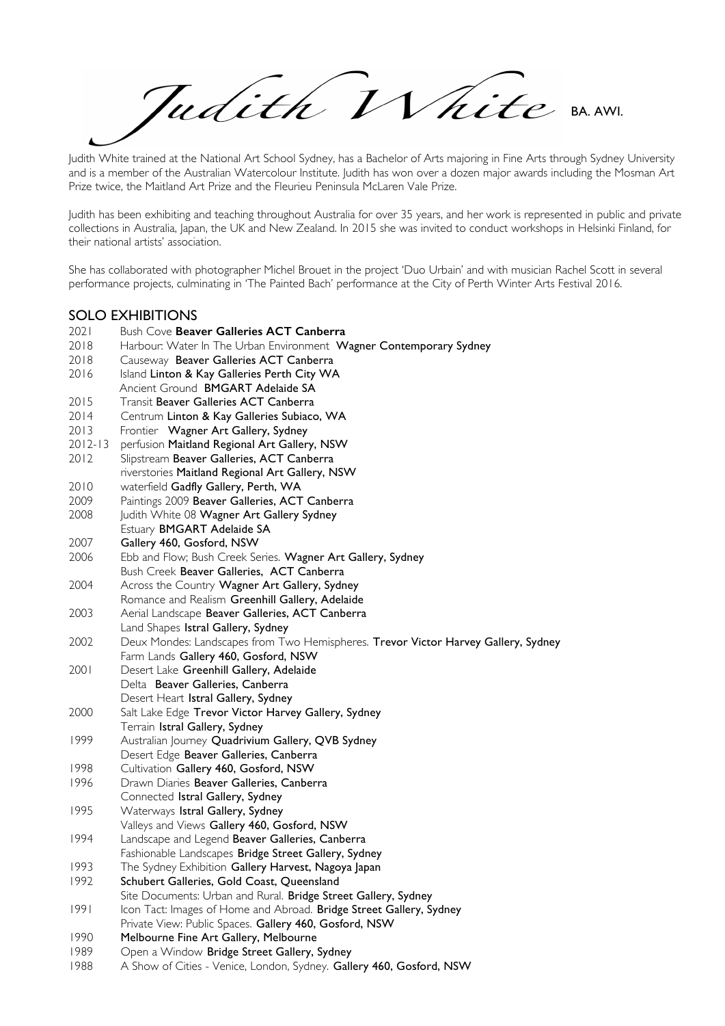Tudith White BA. AWI.

Judith White trained at the National Art School Sydney, has a Bachelor of Arts majoring in Fine Arts through Sydney University and is a member of the Australian Watercolour Institute. Judith has won over a dozen major awards including the Mosman Art Prize twice, the Maitland Art Prize and the Fleurieu Peninsula McLaren Vale Prize.

Judith has been exhibiting and teaching throughout Australia for over 35 years, and her work is represented in public and private collections in Australia, Japan, the UK and New Zealand. In 2015 she was invited to conduct workshops in Helsinki Finland, for their national artists' association.

She has collaborated with photographer Michel Brouet in the project 'Duo Urbain' and with musician Rachel Scott in several performance projects, culminating in 'The Painted Bach' performance at the City of Perth Winter Arts Festival 2016.

### SOLO EXHIBITIONS

- 2021 Bush Cove **Beaver Galleries ACT Canberra**
- 2018 Harbour: Water In The Urban Environment Wagner Contemporary Sydney
- 2018 Causeway Beaver Galleries ACT Canberra
- 2016 Island Linton & Kay Galleries Perth City WA
- Ancient Ground BMGART Adelaide SA
- 2015 Transit Beaver Galleries ACT Canberra
- 2014 Centrum Linton & Kay Galleries Subiaco, WA
- 2013 Frontier Wagner Art Gallery, Sydney
- 2012-13 perfusion Maitland Regional Art Gallery, NSW
- 2012 Slipstream Beaver Galleries, ACT Canberra
- riverstories Maitland Regional Art Gallery, NSW
- 2010 waterfield Gadfly Gallery, Perth, WA<br>2009 Paintings 2009 Beaver Galleries, ACT
- Paintings 2009 Beaver Galleries, ACT Canberra
- 2008 Judith White 08 Wagner Art Gallery Sydney
- Estuary BMGART Adelaide SA
- 2007 Gallery 460, Gosford, NSW
- 2006 Ebb and Flow; Bush Creek Series. Wagner Art Gallery, Sydney
- Bush Creek Beaver Galleries, ACT Canberra
- 2004 Across the Country Wagner Art Gallery, Sydney
- Romance and Realism Greenhill Gallery, Adelaide
- 2003 Aerial Landscape Beaver Galleries, ACT Canberra
- Land Shapes Istral Gallery, Sydney
- 2002 Deux Mondes: Landscapes from Two Hemispheres. Trevor Victor Harvey Gallery, Sydney Farm Lands Gallery 460, Gosford, NSW
- 2001 Desert Lake Greenhill Gallery, Adelaide Delta Beaver Galleries, Canberra
- Desert Heart Istral Gallery, Sydney
- 2000 Salt Lake Edge Trevor Victor Harvey Gallery, Sydney Terrain Istral Gallery, Sydney
- 1999 Australian Journey Quadrivium Gallery, QVB Sydney
- Desert Edge Beaver Galleries, Canberra
- 1998 Cultivation Gallery 460, Gosford, NSW
- 1996 Drawn Diaries Beaver Galleries, Canberra
- Connected Istral Gallery, Sydney
- 1995 Waterways Istral Gallery, Sydney
- Valleys and Views Gallery 460, Gosford, NSW
- 1994 Landscape and Legend Beaver Galleries, Canberra
- Fashionable Landscapes Bridge Street Gallery, Sydney
- 1993 The Sydney Exhibition Gallery Harvest, Nagoya Japan 1992 Schubert Galleries, Gold Coast, Queensland
- Site Documents: Urban and Rural. Bridge Street Gallery, Sydney
- 1991 Icon Tact: Images of Home and Abroad. Bridge Street Gallery, Sydney Private View: Public Spaces. Gallery 460, Gosford, NSW
- 1990 Melbourne Fine Art Gallery, Melbourne
- 1989 Open a Window Bridge Street Gallery, Sydney
- 1988 A Show of Cities Venice, London, Sydney. Gallery 460, Gosford, NSW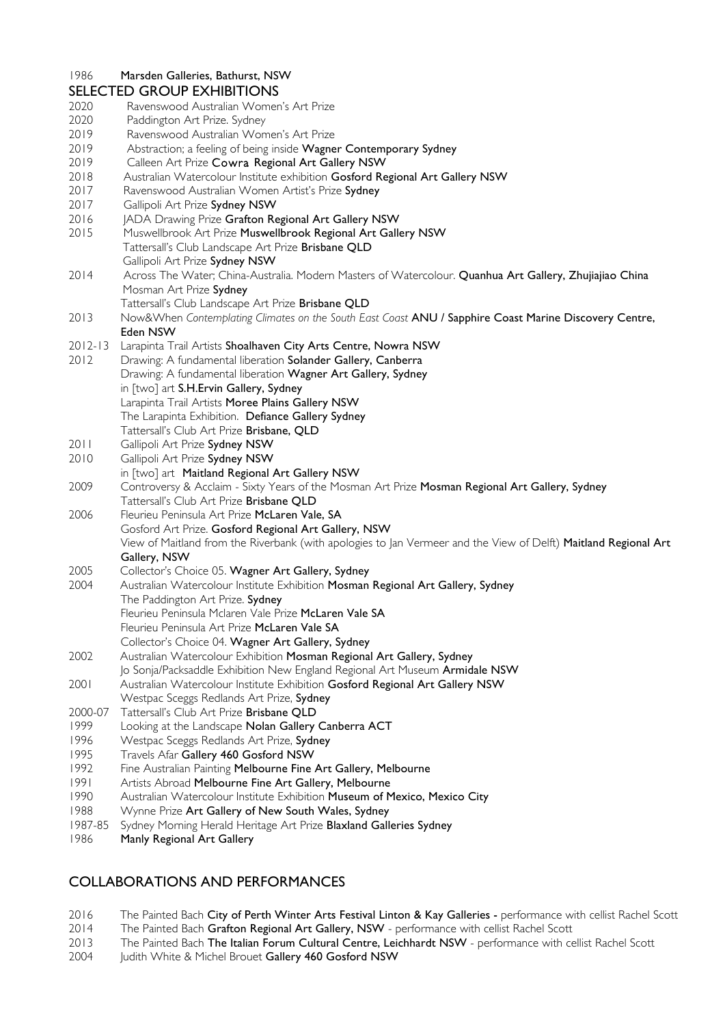### 1986 Marsden Galleries, Bathurst, NSW

|                 | <b>SELECTED GROUP EXHIBITIONS</b>                                                                               |
|-----------------|-----------------------------------------------------------------------------------------------------------------|
| 2020            | Ravenswood Australian Women's Art Prize                                                                         |
| 2020            | Paddington Art Prize. Sydney                                                                                    |
| 2019            | Ravenswood Australian Women's Art Prize                                                                         |
| 2019            | Abstraction; a feeling of being inside Wagner Contemporary Sydney                                               |
| 2019            | Calleen Art Prize Cowra Regional Art Gallery NSW                                                                |
| 2018            | Australian Watercolour Institute exhibition Gosford Regional Art Gallery NSW                                    |
| 2017            | Ravenswood Australian Women Artist's Prize Sydney                                                               |
| 2017            | Gallipoli Art Prize Sydney NSW                                                                                  |
| 2016            | JADA Drawing Prize Grafton Regional Art Gallery NSW                                                             |
| 2015            | Muswellbrook Art Prize Muswellbrook Regional Art Gallery NSW                                                    |
|                 | Tattersall's Club Landscape Art Prize Brisbane QLD                                                              |
|                 | Gallipoli Art Prize Sydney NSW                                                                                  |
| 2014            | Across The Water; China-Australia. Modern Masters of Watercolour. Quanhua Art Gallery, Zhujiajiao China         |
|                 | Mosman Art Prize Sydney                                                                                         |
|                 | Tattersall's Club Landscape Art Prize Brisbane QLD                                                              |
| 2013            | Now&When Contemplating Climates on the South East Coast ANU / Sapphire Coast Marine Discovery Centre,           |
|                 | Eden NSW                                                                                                        |
| $2012 - 13$     | Larapinta Trail Artists Shoalhaven City Arts Centre, Nowra NSW                                                  |
| 2012            | Drawing: A fundamental liberation Solander Gallery, Canberra                                                    |
|                 | Drawing: A fundamental liberation Wagner Art Gallery, Sydney                                                    |
|                 | in [two] art S.H.Ervin Gallery, Sydney                                                                          |
|                 | Larapinta Trail Artists Moree Plains Gallery NSW                                                                |
|                 | The Larapinta Exhibition. Defiance Gallery Sydney                                                               |
|                 | Tattersall's Club Art Prize Brisbane, QLD                                                                       |
| 2011            | Gallipoli Art Prize Sydney NSW                                                                                  |
| 2010            | Gallipoli Art Prize Sydney NSW                                                                                  |
|                 | in [two] art Maitland Regional Art Gallery NSW                                                                  |
| 2009            | Controversy & Acclaim - Sixty Years of the Mosman Art Prize Mosman Regional Art Gallery, Sydney                 |
|                 | Tattersall's Club Art Prize Brisbane QLD                                                                        |
| 2006            | Fleurieu Peninsula Art Prize McLaren Vale, SA                                                                   |
|                 | Gosford Art Prize. Gosford Regional Art Gallery, NSW                                                            |
|                 | View of Maitland from the Riverbank (with apologies to Jan Vermeer and the View of Delft) Maitland Regional Art |
|                 | Gallery, NSW                                                                                                    |
| 2005            | Collector's Choice 05. Wagner Art Gallery, Sydney                                                               |
| 2004            | Australian Watercolour Institute Exhibition Mosman Regional Art Gallery, Sydney                                 |
|                 | The Paddington Art Prize. Sydney                                                                                |
|                 | Fleurieu Peninsula Mclaren Vale Prize McLaren Vale SA                                                           |
|                 | Fleurieu Peninsula Art Prize McLaren Vale SA                                                                    |
|                 | Collector's Choice 04. Wagner Art Gallery, Sydney                                                               |
| 2002            | Australian Watercolour Exhibition Mosman Regional Art Gallery, Sydney                                           |
|                 | Jo Sonja/Packsaddle Exhibition New England Regional Art Museum Armidale NSW                                     |
| 2001            | Australian Watercolour Institute Exhibition Gosford Regional Art Gallery NSW                                    |
|                 | Westpac Sceggs Redlands Art Prize, Sydney                                                                       |
| 2000-07         | Tattersall's Club Art Prize Brisbane QLD                                                                        |
| 1999            | Looking at the Landscape Nolan Gallery Canberra ACT                                                             |
| 1996            | Westpac Sceggs Redlands Art Prize, Sydney                                                                       |
| 1995            | Travels Afar Gallery 460 Gosford NSW                                                                            |
| 1992            | Fine Australian Painting Melbourne Fine Art Gallery, Melbourne                                                  |
| 1991            | Artists Abroad Melbourne Fine Art Gallery, Melbourne                                                            |
| 1990            | Australian Watercolour Institute Exhibition Museum of Mexico, Mexico City                                       |
| 1988<br>1987-85 | Wynne Prize Art Gallery of New South Wales, Sydney                                                              |
| 1986            | Sydney Morning Herald Heritage Art Prize Blaxland Galleries Sydney                                              |
|                 | Manly Regional Art Gallery                                                                                      |
|                 |                                                                                                                 |

## COLLABORATIONS AND PERFORMANCES

- 2016 The Painted Bach City of Perth Winter Arts Festival Linton & Kay Galleries performance with cellist Rachel Scott<br>2014 The Painted Bach Grafton Regional Art Gallery, NSW performance with cellist Rachel Scott
- 2014 The Painted Bach Grafton Regional Art Gallery, NSW performance with cellist Rachel Scott<br>2013 The Painted Bach The Italian Forum Cultural Centre, Leichhardt NSW performance with ce
- The Painted Bach The Italian Forum Cultural Centre, Leichhardt NSW performance with cellist Rachel Scott
- 2004 Judith White & Michel Brouet Gallery 460 Gosford NSW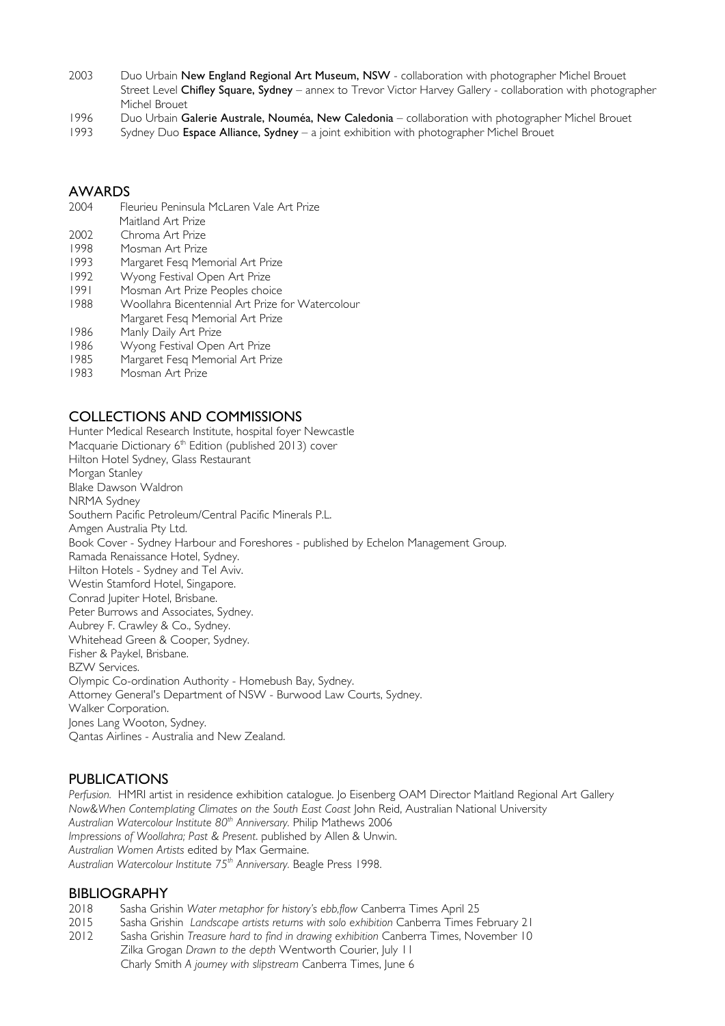- 2003 Duo Urbain New England Regional Art Museum, NSW collaboration with photographer Michel Brouet Street Level Chifley Square, Sydney – annex to Trevor Victor Harvey Gallery - collaboration with photographer Michel Brouet
- 1996 Duo Urbain Galerie Australe, Nouméa, New Caledonia collaboration with photographer Michel Brouet
- 1993 Sydney Duo Espace Alliance, Sydney a joint exhibition with photographer Michel Brouet

# **AWARDS**

- 2004 Fleurieu Peninsula McLaren Vale Art Prize
- Maitland Art Prize
- 2002 Chroma Art Prize 1998 Mosman Art Prize
- 1993 Margaret Fesq Memorial Art Prize
- 1992 Wyong Festival Open Art Prize
- 1991 Mosman Art Prize Peoples choice
- 1988 Woollahra Bicentennial Art Prize for Watercolour
- Margaret Fesq Memorial Art Prize
- 1986 Manly Daily Art Prize
- 1986 Wyong Festival Open Art Prize
- 1985 Margaret Fesq Memorial Art Prize
- 1983 Mosman Art Prize

# COLLECTIONS AND COMMISSIONS

Hunter Medical Research Institute, hospital foyer Newcastle Macquarie Dictionary 6<sup>th</sup> Edition (published 2013) cover Hilton Hotel Sydney, Glass Restaurant Morgan Stanley Blake Dawson Waldron NRMA Sydney Southern Pacific Petroleum/Central Pacific Minerals P.L. Amgen Australia Pty Ltd. Book Cover - Sydney Harbour and Foreshores - published by Echelon Management Group. Ramada Renaissance Hotel, Sydney. Hilton Hotels - Sydney and Tel Aviv. Westin Stamford Hotel, Singapore. Conrad Jupiter Hotel, Brisbane. Peter Burrows and Associates, Sydney. Aubrey F. Crawley & Co., Sydney. Whitehead Green & Cooper, Sydney. Fisher & Paykel, Brisbane. BZW Services. Olympic Co-ordination Authority - Homebush Bay, Sydney. Attorney General's Department of NSW - Burwood Law Courts, Sydney. Walker Corporation. Jones Lang Wooton, Sydney. Qantas Airlines - Australia and New Zealand.

## PUBLICATIONS

*Perfusion.* HMRI artist in residence exhibition catalogue. Jo Eisenberg OAM Director Maitland Regional Art Gallery *Now&When Contemplating Climates on the South East Coast John Reid, Australian National University Australian Watercolour Institute 80th Anniversary.* Philip Mathews 2006 *Impressions of Woollahra; Past & Present*. published by Allen & Unwin. *Australian Women Artists* edited by Max Germaine. *Australian Watercolour Institute 75th Anniversary.* Beagle Press 1998.

### BIBLIOGRAPHY

- 2018 Sasha Grishin *Water metaphor for history's ebb,flow* Canberra Times April 25
- 2015 Sasha Grishin *Landscape artists returns with solo exhibition* Canberra Times February 21
- 2012 Sasha Grishin *Treasure hard to find in drawing exhibition* Canberra Times, November 10 Zilka Grogan *Drawn to the depth* Wentworth Courier, July 11 Charly Smith *A journey with slipstream* Canberra Times, June 6